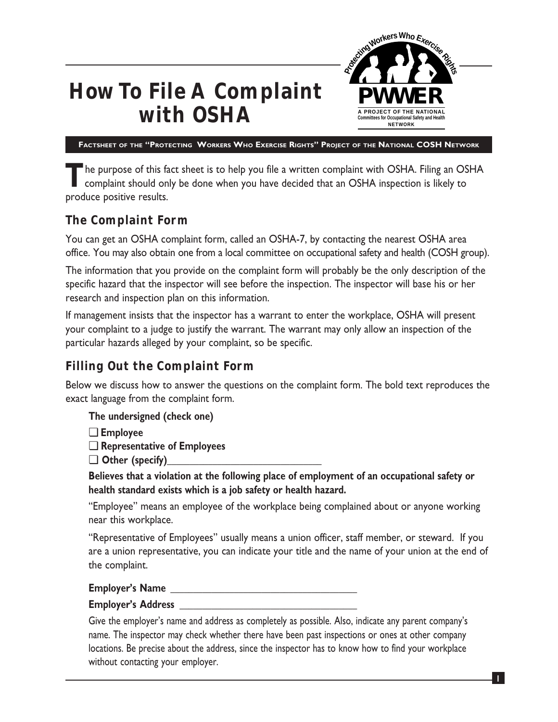

# **How To File A Complaint with OSHA**

**FACTSHEET OF THE "PROTECTING WORKERS WHO EXERCISE RIGHTS" PROJECT OF THE NATIONAL COSH NETWORK**

The purpose of this fact sheet is to help you file a written complaint with OSHA. Filing an OSHA complaint should only be done when you have decided that an OSHA inspection is likely to produce positive results.

# **The Complaint Form**

You can get an OSHA complaint form, called an OSHA-7, by contacting the nearest OSHA area office. You may also obtain one from a local committee on occupational safety and health (COSH group).

The information that you provide on the complaint form will probably be the only description of the specific hazard that the inspector will see before the inspection. The inspector will base his or her research and inspection plan on this information.

If management insists that the inspector has a warrant to enter the workplace, OSHA will present your complaint to a judge to justify the warrant. The warrant may only allow an inspection of the particular hazards alleged by your complaint, so be specific.

# **Filling Out the Complaint Form**

Below we discuss how to answer the questions on the complaint form. The bold text reproduces the exact language from the complaint form.

- **The undersigned (check one)**
- ❏ **Employee**
- ❏ **Representative of Employees**
- ❏ **Other (specify)\_\_\_\_\_\_\_\_\_\_\_\_\_\_\_\_\_\_\_\_\_\_\_\_\_\_\_\_\_\_\_\_\_\_**

**Believes that a violation at the following place of employment of an occupational safety or health standard exists which is a job safety or health hazard.**

"Employee" means an employee of the workplace being complained about or anyone working near this workplace.

"Representative of Employees" usually means a union officer, staff member, or steward. If you are a union representative, you can indicate your title and the name of your union at the end of the complaint.

**Employer's Name \_\_\_\_\_\_\_\_\_\_\_\_\_\_\_\_\_\_\_\_\_\_\_\_\_\_\_\_\_\_\_\_\_\_\_\_\_\_\_\_\_**

#### **Employer's Address \_\_\_\_\_\_\_\_\_\_\_\_\_\_\_\_\_\_\_\_\_\_\_\_\_\_\_\_\_\_\_\_\_\_\_\_\_\_\_**

Give the employer's name and address as completely as possible. Also, indicate any parent company's name. The inspector may check whether there have been past inspections or ones at other company locations. Be precise about the address, since the inspector has to know how to find your workplace without contacting your employer.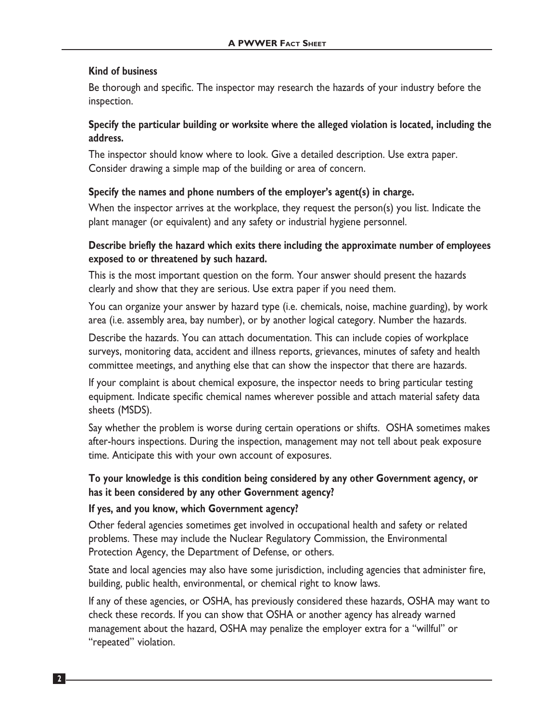### **Kind of business**

Be thorough and specific. The inspector may research the hazards of your industry before the inspection.

# **Specify the particular building or worksite where the alleged violation is located, including the address.**

The inspector should know where to look. Give a detailed description. Use extra paper. Consider drawing a simple map of the building or area of concern.

# **Specify the names and phone numbers of the employer's agent(s) in charge.**

When the inspector arrives at the workplace, they request the person(s) you list. Indicate the plant manager (or equivalent) and any safety or industrial hygiene personnel.

# **Describe briefly the hazard which exits there including the approximate number of employees exposed to or threatened by such hazard.**

This is the most important question on the form. Your answer should present the hazards clearly and show that they are serious. Use extra paper if you need them.

You can organize your answer by hazard type (i.e. chemicals, noise, machine guarding), by work area (i.e. assembly area, bay number), or by another logical category. Number the hazards.

Describe the hazards. You can attach documentation. This can include copies of workplace surveys, monitoring data, accident and illness reports, grievances, minutes of safety and health committee meetings, and anything else that can show the inspector that there are hazards.

If your complaint is about chemical exposure, the inspector needs to bring particular testing equipment. Indicate specific chemical names wherever possible and attach material safety data sheets (MSDS).

Say whether the problem is worse during certain operations or shifts. OSHA sometimes makes after-hours inspections. During the inspection, management may not tell about peak exposure time. Anticipate this with your own account of exposures.

# **To your knowledge is this condition being considered by any other Government agency, or has it been considered by any other Government agency?**

## **If yes, and you know, which Government agency?**

Other federal agencies sometimes get involved in occupational health and safety or related problems. These may include the Nuclear Regulatory Commission, the Environmental Protection Agency, the Department of Defense, or others.

State and local agencies may also have some jurisdiction, including agencies that administer fire, building, public health, environmental, or chemical right to know laws.

If any of these agencies, or OSHA, has previously considered these hazards, OSHA may want to check these records. If you can show that OSHA or another agency has already warned management about the hazard, OSHA may penalize the employer extra for a "willful" or "repeated" violation.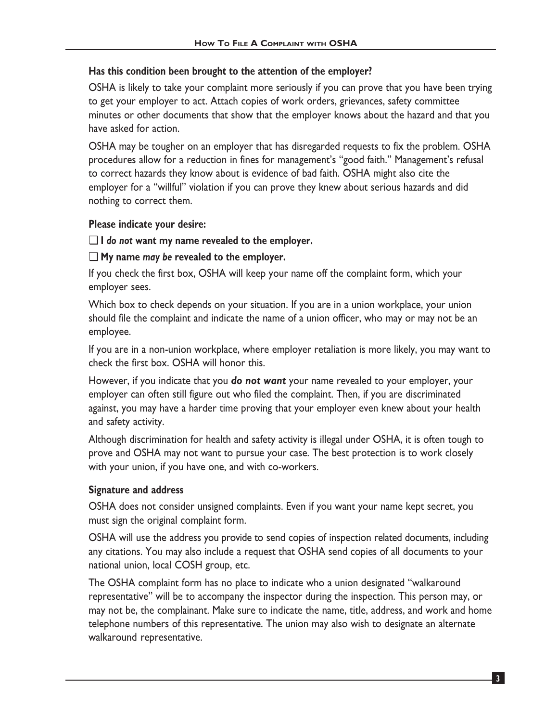## **Has this condition been brought to the attention of the employer?**

OSHA is likely to take your complaint more seriously if you can prove that you have been trying to get your employer to act. Attach copies of work orders, grievances, safety committee minutes or other documents that show that the employer knows about the hazard and that you have asked for action.

OSHA may be tougher on an employer that has disregarded requests to fix the problem. OSHA procedures allow for a reduction in fines for management's "good faith." Management's refusal to correct hazards they know about is evidence of bad faith. OSHA might also cite the employer for a "willful" violation if you can prove they knew about serious hazards and did nothing to correct them.

#### **Please indicate your desire:**

#### ❏ **I** *do not* **want my name revealed to the employer.**

#### ❏ **My name** *may be* **revealed to the employer.**

If you check the first box, OSHA will keep your name off the complaint form, which your employer sees.

Which box to check depends on your situation. If you are in a union workplace, your union should file the complaint and indicate the name of a union officer, who may or may not be an employee.

If you are in a non-union workplace, where employer retaliation is more likely, you may want to check the first box. OSHA will honor this.

However, if you indicate that you *do not want* your name revealed to your employer, your employer can often still figure out who filed the complaint. Then, if you are discriminated against, you may have a harder time proving that your employer even knew about your health and safety activity.

Although discrimination for health and safety activity is illegal under OSHA, it is often tough to prove and OSHA may not want to pursue your case. The best protection is to work closely with your union, if you have one, and with co-workers.

#### **Signature and address**

OSHA does not consider unsigned complaints. Even if you want your name kept secret, you must sign the original complaint form.

OSHA will use the address you provide to send copies of inspection related documents, including any citations. You may also include a request that OSHA send copies of all documents to your national union, local COSH group, etc.

The OSHA complaint form has no place to indicate who a union designated "walkaround representative" will be to accompany the inspector during the inspection. This person may, or may not be, the complainant. Make sure to indicate the name, title, address, and work and home telephone numbers of this representative. The union may also wish to designate an alternate walkaround representative.